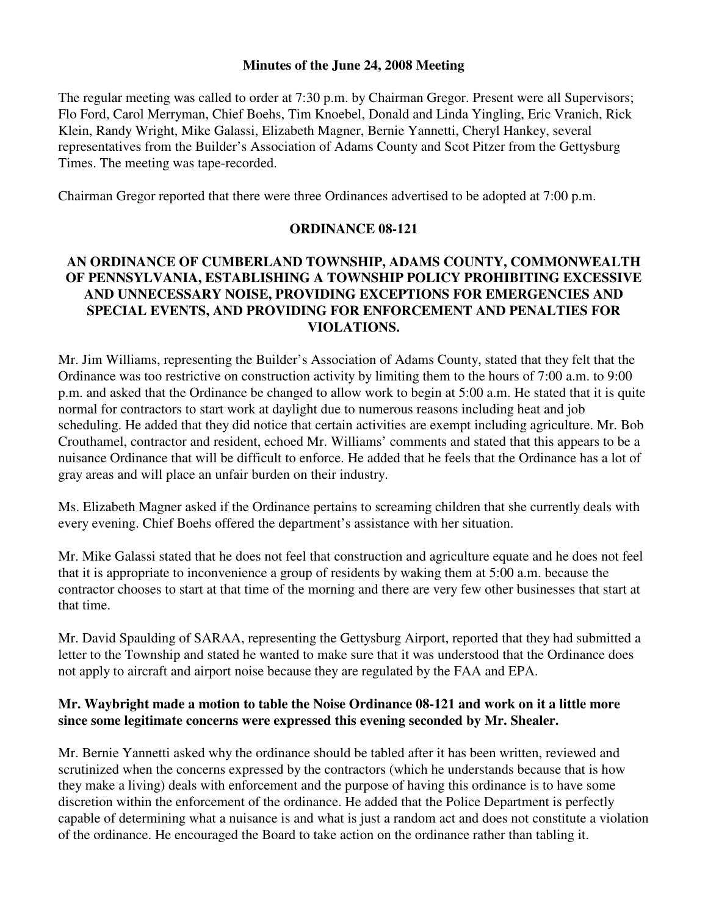#### **Minutes of the June 24, 2008 Meeting**

The regular meeting was called to order at 7:30 p.m. by Chairman Gregor. Present were all Supervisors; Flo Ford, Carol Merryman, Chief Boehs, Tim Knoebel, Donald and Linda Yingling, Eric Vranich, Rick Klein, Randy Wright, Mike Galassi, Elizabeth Magner, Bernie Yannetti, Cheryl Hankey, several representatives from the Builder's Association of Adams County and Scot Pitzer from the Gettysburg Times. The meeting was tape-recorded.

Chairman Gregor reported that there were three Ordinances advertised to be adopted at 7:00 p.m.

## **ORDINANCE 08-121**

# **AN ORDINANCE OF CUMBERLAND TOWNSHIP, ADAMS COUNTY, COMMONWEALTH OF PENNSYLVANIA, ESTABLISHING A TOWNSHIP POLICY PROHIBITING EXCESSIVE AND UNNECESSARY NOISE, PROVIDING EXCEPTIONS FOR EMERGENCIES AND SPECIAL EVENTS, AND PROVIDING FOR ENFORCEMENT AND PENALTIES FOR VIOLATIONS.**

Mr. Jim Williams, representing the Builder's Association of Adams County, stated that they felt that the Ordinance was too restrictive on construction activity by limiting them to the hours of 7:00 a.m. to 9:00 p.m. and asked that the Ordinance be changed to allow work to begin at 5:00 a.m. He stated that it is quite normal for contractors to start work at daylight due to numerous reasons including heat and job scheduling. He added that they did notice that certain activities are exempt including agriculture. Mr. Bob Crouthamel, contractor and resident, echoed Mr. Williams' comments and stated that this appears to be a nuisance Ordinance that will be difficult to enforce. He added that he feels that the Ordinance has a lot of gray areas and will place an unfair burden on their industry.

Ms. Elizabeth Magner asked if the Ordinance pertains to screaming children that she currently deals with every evening. Chief Boehs offered the department's assistance with her situation.

Mr. Mike Galassi stated that he does not feel that construction and agriculture equate and he does not feel that it is appropriate to inconvenience a group of residents by waking them at 5:00 a.m. because the contractor chooses to start at that time of the morning and there are very few other businesses that start at that time.

Mr. David Spaulding of SARAA, representing the Gettysburg Airport, reported that they had submitted a letter to the Township and stated he wanted to make sure that it was understood that the Ordinance does not apply to aircraft and airport noise because they are regulated by the FAA and EPA.

### **Mr. Waybright made a motion to table the Noise Ordinance 08-121 and work on it a little more since some legitimate concerns were expressed this evening seconded by Mr. Shealer.**

Mr. Bernie Yannetti asked why the ordinance should be tabled after it has been written, reviewed and scrutinized when the concerns expressed by the contractors (which he understands because that is how they make a living) deals with enforcement and the purpose of having this ordinance is to have some discretion within the enforcement of the ordinance. He added that the Police Department is perfectly capable of determining what a nuisance is and what is just a random act and does not constitute a violation of the ordinance. He encouraged the Board to take action on the ordinance rather than tabling it.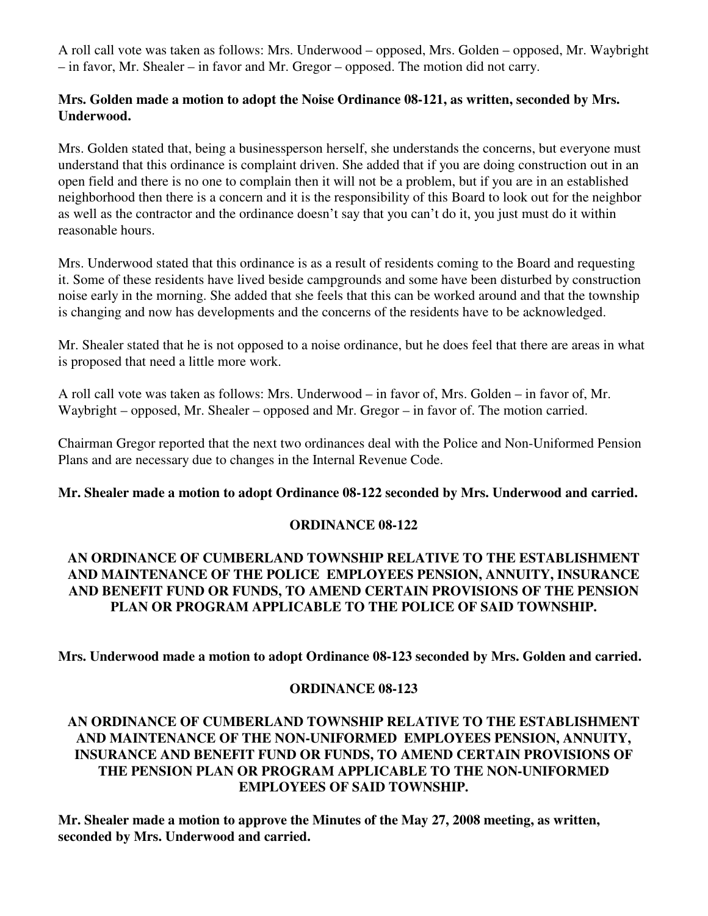A roll call vote was taken as follows: Mrs. Underwood – opposed, Mrs. Golden – opposed, Mr. Waybright – in favor, Mr. Shealer – in favor and Mr. Gregor – opposed. The motion did not carry.

#### **Mrs. Golden made a motion to adopt the Noise Ordinance 08-121, as written, seconded by Mrs. Underwood.**

Mrs. Golden stated that, being a businessperson herself, she understands the concerns, but everyone must understand that this ordinance is complaint driven. She added that if you are doing construction out in an open field and there is no one to complain then it will not be a problem, but if you are in an established neighborhood then there is a concern and it is the responsibility of this Board to look out for the neighbor as well as the contractor and the ordinance doesn't say that you can't do it, you just must do it within reasonable hours.

Mrs. Underwood stated that this ordinance is as a result of residents coming to the Board and requesting it. Some of these residents have lived beside campgrounds and some have been disturbed by construction noise early in the morning. She added that she feels that this can be worked around and that the township is changing and now has developments and the concerns of the residents have to be acknowledged.

Mr. Shealer stated that he is not opposed to a noise ordinance, but he does feel that there are areas in what is proposed that need a little more work.

A roll call vote was taken as follows: Mrs. Underwood – in favor of, Mrs. Golden – in favor of, Mr. Waybright – opposed, Mr. Shealer – opposed and Mr. Gregor – in favor of. The motion carried.

Chairman Gregor reported that the next two ordinances deal with the Police and Non-Uniformed Pension Plans and are necessary due to changes in the Internal Revenue Code.

### **Mr. Shealer made a motion to adopt Ordinance 08-122 seconded by Mrs. Underwood and carried.**

### **ORDINANCE 08-122**

### **AN ORDINANCE OF CUMBERLAND TOWNSHIP RELATIVE TO THE ESTABLISHMENT AND MAINTENANCE OF THE POLICE EMPLOYEES PENSION, ANNUITY, INSURANCE AND BENEFIT FUND OR FUNDS, TO AMEND CERTAIN PROVISIONS OF THE PENSION PLAN OR PROGRAM APPLICABLE TO THE POLICE OF SAID TOWNSHIP.**

**Mrs. Underwood made a motion to adopt Ordinance 08-123 seconded by Mrs. Golden and carried.** 

#### **ORDINANCE 08-123**

### **AN ORDINANCE OF CUMBERLAND TOWNSHIP RELATIVE TO THE ESTABLISHMENT AND MAINTENANCE OF THE NON-UNIFORMED EMPLOYEES PENSION, ANNUITY, INSURANCE AND BENEFIT FUND OR FUNDS, TO AMEND CERTAIN PROVISIONS OF THE PENSION PLAN OR PROGRAM APPLICABLE TO THE NON-UNIFORMED EMPLOYEES OF SAID TOWNSHIP.**

**Mr. Shealer made a motion to approve the Minutes of the May 27, 2008 meeting, as written, seconded by Mrs. Underwood and carried.**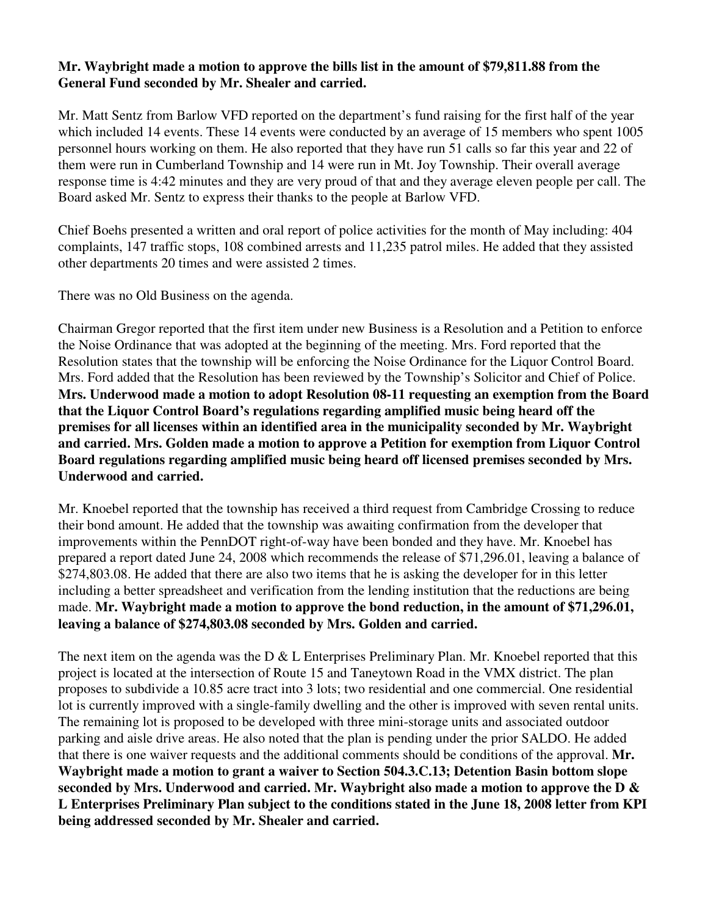### **Mr. Waybright made a motion to approve the bills list in the amount of \$79,811.88 from the General Fund seconded by Mr. Shealer and carried.**

Mr. Matt Sentz from Barlow VFD reported on the department's fund raising for the first half of the year which included 14 events. These 14 events were conducted by an average of 15 members who spent 1005 personnel hours working on them. He also reported that they have run 51 calls so far this year and 22 of them were run in Cumberland Township and 14 were run in Mt. Joy Township. Their overall average response time is 4:42 minutes and they are very proud of that and they average eleven people per call. The Board asked Mr. Sentz to express their thanks to the people at Barlow VFD.

Chief Boehs presented a written and oral report of police activities for the month of May including: 404 complaints, 147 traffic stops, 108 combined arrests and 11,235 patrol miles. He added that they assisted other departments 20 times and were assisted 2 times.

There was no Old Business on the agenda.

Chairman Gregor reported that the first item under new Business is a Resolution and a Petition to enforce the Noise Ordinance that was adopted at the beginning of the meeting. Mrs. Ford reported that the Resolution states that the township will be enforcing the Noise Ordinance for the Liquor Control Board. Mrs. Ford added that the Resolution has been reviewed by the Township's Solicitor and Chief of Police. **Mrs. Underwood made a motion to adopt Resolution 08-11 requesting an exemption from the Board that the Liquor Control Board's regulations regarding amplified music being heard off the premises for all licenses within an identified area in the municipality seconded by Mr. Waybright and carried. Mrs. Golden made a motion to approve a Petition for exemption from Liquor Control Board regulations regarding amplified music being heard off licensed premises seconded by Mrs. Underwood and carried.** 

Mr. Knoebel reported that the township has received a third request from Cambridge Crossing to reduce their bond amount. He added that the township was awaiting confirmation from the developer that improvements within the PennDOT right-of-way have been bonded and they have. Mr. Knoebel has prepared a report dated June 24, 2008 which recommends the release of \$71,296.01, leaving a balance of \$274,803.08. He added that there are also two items that he is asking the developer for in this letter including a better spreadsheet and verification from the lending institution that the reductions are being made. **Mr. Waybright made a motion to approve the bond reduction, in the amount of \$71,296.01, leaving a balance of \$274,803.08 seconded by Mrs. Golden and carried.** 

The next item on the agenda was the D  $&$  L Enterprises Preliminary Plan. Mr. Knoebel reported that this project is located at the intersection of Route 15 and Taneytown Road in the VMX district. The plan proposes to subdivide a 10.85 acre tract into 3 lots; two residential and one commercial. One residential lot is currently improved with a single-family dwelling and the other is improved with seven rental units. The remaining lot is proposed to be developed with three mini-storage units and associated outdoor parking and aisle drive areas. He also noted that the plan is pending under the prior SALDO. He added that there is one waiver requests and the additional comments should be conditions of the approval. **Mr. Waybright made a motion to grant a waiver to Section 504.3.C.13; Detention Basin bottom slope seconded by Mrs. Underwood and carried. Mr. Waybright also made a motion to approve the D & L Enterprises Preliminary Plan subject to the conditions stated in the June 18, 2008 letter from KPI being addressed seconded by Mr. Shealer and carried.**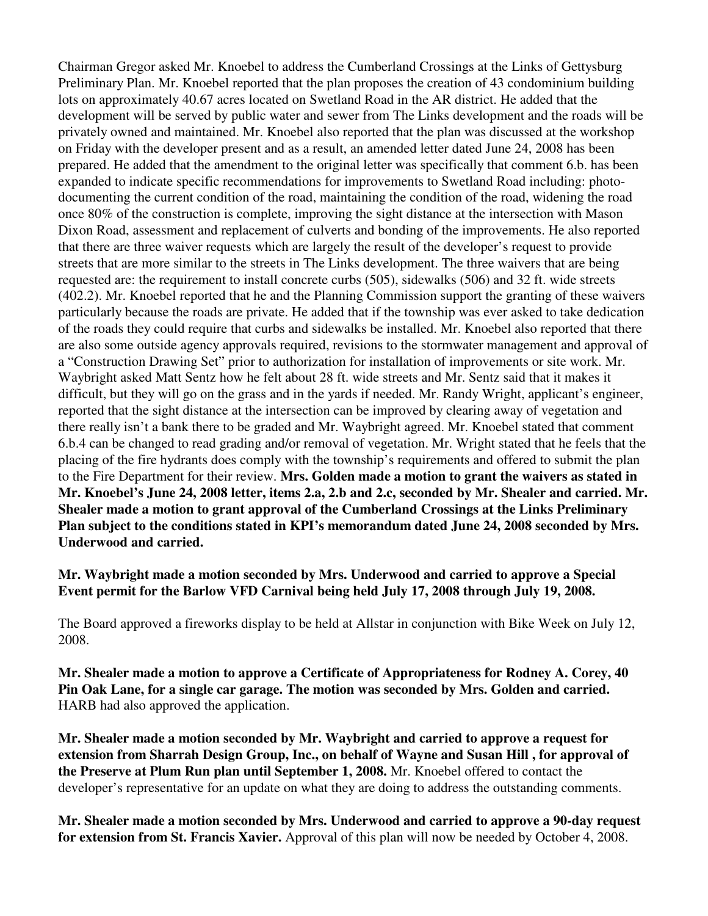Chairman Gregor asked Mr. Knoebel to address the Cumberland Crossings at the Links of Gettysburg Preliminary Plan. Mr. Knoebel reported that the plan proposes the creation of 43 condominium building lots on approximately 40.67 acres located on Swetland Road in the AR district. He added that the development will be served by public water and sewer from The Links development and the roads will be privately owned and maintained. Mr. Knoebel also reported that the plan was discussed at the workshop on Friday with the developer present and as a result, an amended letter dated June 24, 2008 has been prepared. He added that the amendment to the original letter was specifically that comment 6.b. has been expanded to indicate specific recommendations for improvements to Swetland Road including: photodocumenting the current condition of the road, maintaining the condition of the road, widening the road once 80% of the construction is complete, improving the sight distance at the intersection with Mason Dixon Road, assessment and replacement of culverts and bonding of the improvements. He also reported that there are three waiver requests which are largely the result of the developer's request to provide streets that are more similar to the streets in The Links development. The three waivers that are being requested are: the requirement to install concrete curbs (505), sidewalks (506) and 32 ft. wide streets (402.2). Mr. Knoebel reported that he and the Planning Commission support the granting of these waivers particularly because the roads are private. He added that if the township was ever asked to take dedication of the roads they could require that curbs and sidewalks be installed. Mr. Knoebel also reported that there are also some outside agency approvals required, revisions to the stormwater management and approval of a "Construction Drawing Set" prior to authorization for installation of improvements or site work. Mr. Waybright asked Matt Sentz how he felt about 28 ft. wide streets and Mr. Sentz said that it makes it difficult, but they will go on the grass and in the yards if needed. Mr. Randy Wright, applicant's engineer, reported that the sight distance at the intersection can be improved by clearing away of vegetation and there really isn't a bank there to be graded and Mr. Waybright agreed. Mr. Knoebel stated that comment 6.b.4 can be changed to read grading and/or removal of vegetation. Mr. Wright stated that he feels that the placing of the fire hydrants does comply with the township's requirements and offered to submit the plan to the Fire Department for their review. **Mrs. Golden made a motion to grant the waivers as stated in Mr. Knoebel's June 24, 2008 letter, items 2.a, 2.b and 2.c, seconded by Mr. Shealer and carried. Mr. Shealer made a motion to grant approval of the Cumberland Crossings at the Links Preliminary Plan subject to the conditions stated in KPI's memorandum dated June 24, 2008 seconded by Mrs. Underwood and carried.** 

**Mr. Waybright made a motion seconded by Mrs. Underwood and carried to approve a Special Event permit for the Barlow VFD Carnival being held July 17, 2008 through July 19, 2008.** 

The Board approved a fireworks display to be held at Allstar in conjunction with Bike Week on July 12, 2008.

**Mr. Shealer made a motion to approve a Certificate of Appropriateness for Rodney A. Corey, 40 Pin Oak Lane, for a single car garage. The motion was seconded by Mrs. Golden and carried.**  HARB had also approved the application.

**Mr. Shealer made a motion seconded by Mr. Waybright and carried to approve a request for extension from Sharrah Design Group, Inc., on behalf of Wayne and Susan Hill , for approval of the Preserve at Plum Run plan until September 1, 2008.** Mr. Knoebel offered to contact the developer's representative for an update on what they are doing to address the outstanding comments.

**Mr. Shealer made a motion seconded by Mrs. Underwood and carried to approve a 90-day request for extension from St. Francis Xavier.** Approval of this plan will now be needed by October 4, 2008.